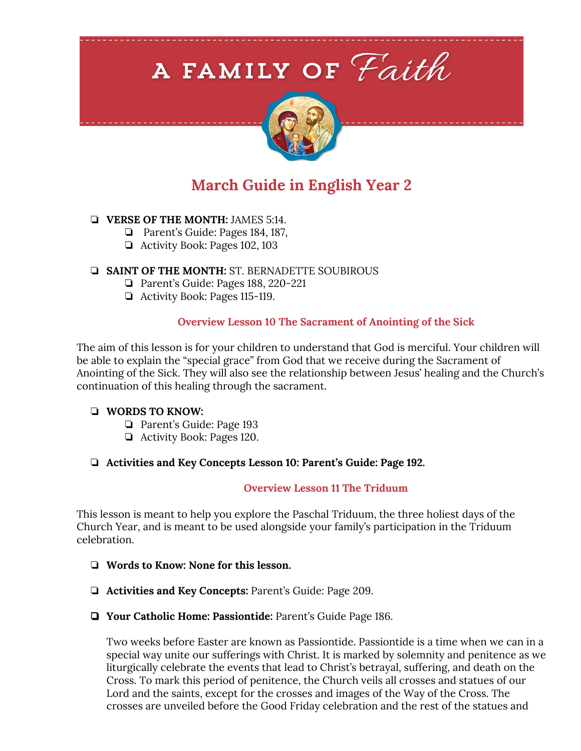# A FAMILY OF Faith



## **March Guide in English Year 2**

#### ❏ **VERSE OF THE MONTH:** JAMES 5:14.

- ❏ Parent's Guide: Pages 184, 187,
- ❏ Activity Book: Pages 102, 103

#### ❏ **SAINT OF THE MONTH:** ST. BERNADETTE SOUBIROUS

- ❏ Parent's Guide: Pages 188, 220-221
- ❏ Activity Book: Pages 115-119.

#### **Overview Lesson 10 The Sacrament of Anointing of the Sick**

The aim of this lesson is for your children to understand that God is merciful. Your children will be able to explain the "special grace" from God that we receive during the Sacrament of Anointing of the Sick. They will also see the relationship between Jesus' healing and the Church's continuation of this healing through the sacrament.

#### ❏ **WORDS TO KNOW:**

- ❏ Parent's Guide: Page 193
- ❏ Activity Book: Pages 120.

#### ❏ **Activities and Key Concepts Lesson 10: Parent's Guide: Page 192.**

#### **Overview Lesson 11 The Triduum**

This lesson is meant to help you explore the Paschal Triduum, the three holiest days of the Church Year, and is meant to be used alongside your family's participation in the Triduum celebration.

- ❏ **Words to Know: None for this lesson.**
- ❏ **Activities and Key Concepts:** Parent's Guide: Page 209.
- ❏ **Your Catholic Home: Passiontide:** Parent's Guide Page 186.

Two weeks before Easter are known as Passiontide. Passiontide is a time when we can in a special way unite our sufferings with Christ. It is marked by solemnity and penitence as we liturgically celebrate the events that lead to Christ's betrayal, suffering, and death on the Cross. To mark this period of penitence, the Church veils all crosses and statues of our Lord and the saints, except for the crosses and images of the Way of the Cross. The crosses are unveiled before the Good Friday celebration and the rest of the statues and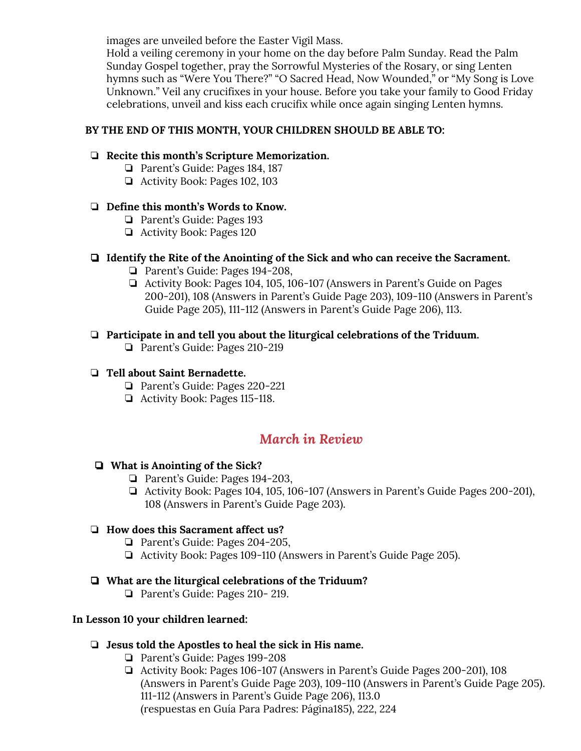images are unveiled before the Easter Vigil Mass.

Hold a veiling ceremony in your home on the day before Palm Sunday. Read the Palm Sunday Gospel together, pray the Sorrowful Mysteries of the Rosary, or sing Lenten hymns such as "Were You There?" "O Sacred Head, Now Wounded," or "My Song is Love Unknown." Veil any crucifixes in your house. Before you take your family to Good Friday celebrations, unveil and kiss each crucifix while once again singing Lenten hymns.

#### **BY THE END OF THIS MONTH, YOUR CHILDREN SHOULD BE ABLE TO:**

#### ❏ **Recite this month's Scripture Memorization.**

- ❏ Parent's Guide: Pages 184, 187
- ❏ Activity Book: Pages 102, 103

#### ❏ **Define this month's Words to Know.**

- ❏ Parent's Guide: Pages 193
- ❏ Activity Book: Pages 120

#### ❏ **Identify the Rite of the Anointing of the Sick and who can receive the Sacrament.**

- ❏ Parent's Guide: Pages 194-208,
- ❏ Activity Book: Pages 104, 105, 106-107 (Answers in Parent's Guide on Pages 200-201), 108 (Answers in Parent's Guide Page 203), 109-110 (Answers in Parent's Guide Page 205), 111-112 (Answers in Parent's Guide Page 206), 113.

#### ❏ **Participate in and tell you about the liturgical celebrations of the Triduum.**

❏ Parent's Guide: Pages 210-219

#### ❏ **Tell about Saint Bernadette.**

- ❏ Parent's Guide: Pages 220-221
- ❏ Activity Book: Pages 115-118.

### *March in Review*

#### ❏ **What is Anointing of the Sick?**

- ❏ Parent's Guide: Pages 194-203,
- ❏ Activity Book: Pages 104, 105, 106-107 (Answers in Parent's Guide Pages 200-201), 108 (Answers in Parent's Guide Page 203).

#### ❏ **How does this Sacrament affect us?**

- ❏ Parent's Guide: Pages 204-205,
- ❏ Activity Book: Pages 109-110 (Answers in Parent's Guide Page 205).

#### ❏ **What are the liturgical celebrations of the Triduum?**

❏ Parent's Guide: Pages 210- 219.

#### **In Lesson 10 your children learned:**

#### ❏ **Jesus told the Apostles to heal the sick in His name.**

- ❏ Parent's Guide: Pages 199-208
- ❏ Activity Book: Pages 106-107 (Answers in Parent's Guide Pages 200-201), 108 (Answers in Parent's Guide Page 203), 109-110 (Answers in Parent's Guide Page 205). 111-112 (Answers in Parent's Guide Page 206), 113.0 (respuestas en Guía Para Padres: Página185), 222, 224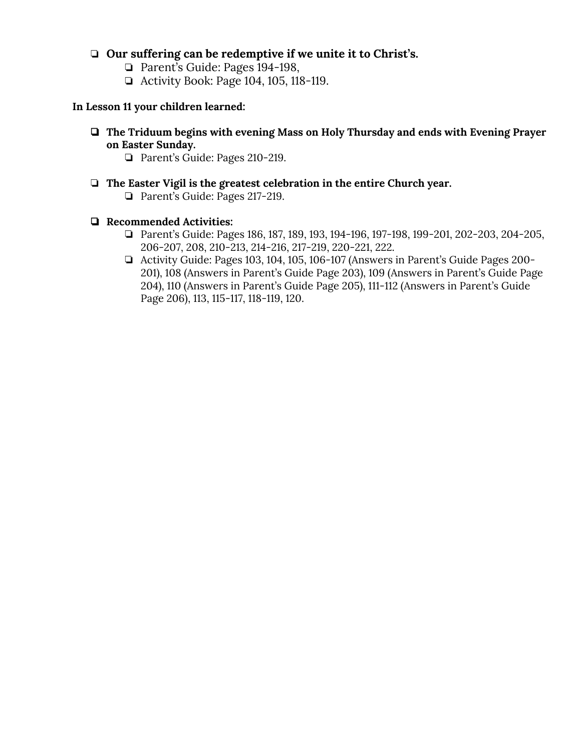#### ❏ **Our suffering can be redemptive if we unite it to Christ's.**

- ❏ Parent's Guide: Pages 194-198,
- ❏ Activity Book: Page 104, 105, 118-119.

#### **In Lesson 11 your children learned:**

- ❏ **The Triduum begins with evening Mass on Holy Thursday and ends with Evening Prayer on Easter Sunday.**
	- ❏ Parent's Guide: Pages 210-219.
- ❏ **The Easter Vigil is the greatest celebration in the entire Church year.**
	- ❏ Parent's Guide: Pages 217-219.

#### ❏ **Recommended Activities:**

- ❏ Parent's Guide: Pages 186, 187, 189, 193, 194-196, 197-198, 199-201, 202-203, 204-205, 206-207, 208, 210-213, 214-216, 217-219, 220-221, 222.
- ❏ Activity Guide: Pages 103, 104, 105, 106-107 (Answers in Parent's Guide Pages 200- 201), 108 (Answers in Parent's Guide Page 203), 109 (Answers in Parent's Guide Page 204), 110 (Answers in Parent's Guide Page 205), 111-112 (Answers in Parent's Guide Page 206), 113, 115-117, 118-119, 120.